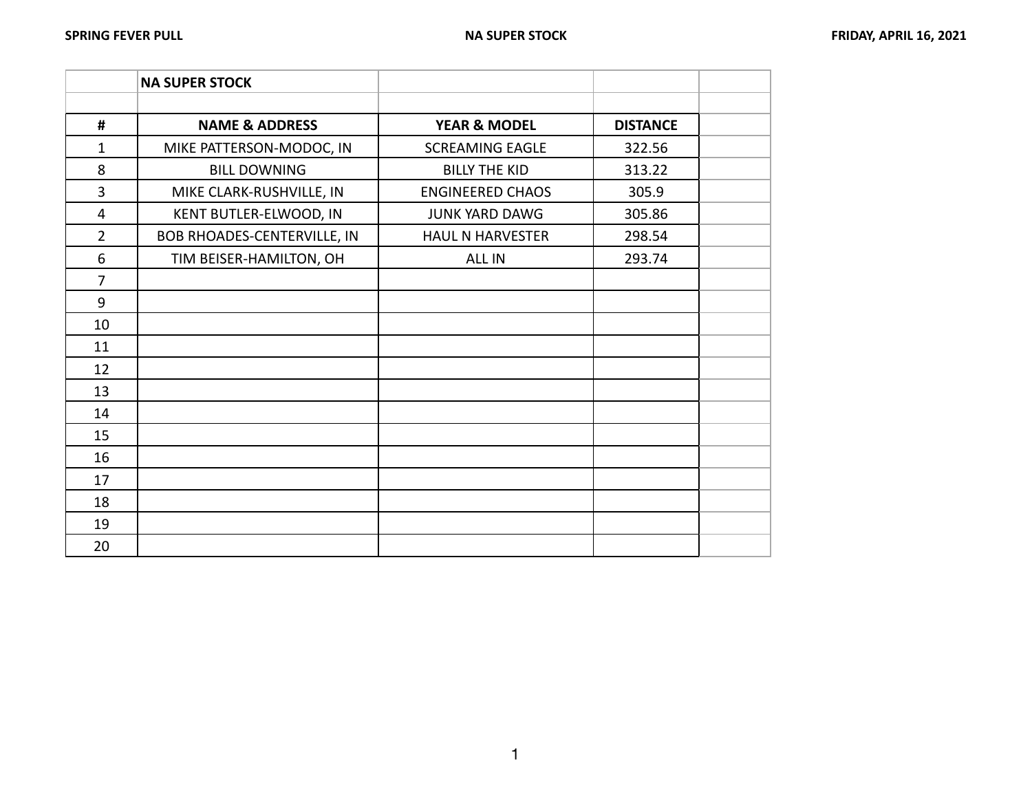|                | <b>NA SUPER STOCK</b>       |                         |                 |  |
|----------------|-----------------------------|-------------------------|-----------------|--|
|                |                             |                         |                 |  |
| $\#$           | <b>NAME &amp; ADDRESS</b>   | <b>YEAR &amp; MODEL</b> | <b>DISTANCE</b> |  |
| $\mathbf{1}$   | MIKE PATTERSON-MODOC, IN    | <b>SCREAMING EAGLE</b>  | 322.56          |  |
| 8              | <b>BILL DOWNING</b>         | <b>BILLY THE KID</b>    | 313.22          |  |
| 3              | MIKE CLARK-RUSHVILLE, IN    | <b>ENGINEERED CHAOS</b> | 305.9           |  |
| $\overline{4}$ | KENT BUTLER-ELWOOD, IN      | <b>JUNK YARD DAWG</b>   | 305.86          |  |
| $\overline{2}$ | BOB RHOADES-CENTERVILLE, IN | <b>HAUL N HARVESTER</b> | 298.54          |  |
| 6              | TIM BEISER-HAMILTON, OH     | <b>ALL IN</b>           | 293.74          |  |
| $\overline{7}$ |                             |                         |                 |  |
| 9              |                             |                         |                 |  |
| 10             |                             |                         |                 |  |
| 11             |                             |                         |                 |  |
| 12             |                             |                         |                 |  |
| 13             |                             |                         |                 |  |
| 14             |                             |                         |                 |  |
| 15             |                             |                         |                 |  |
| 16             |                             |                         |                 |  |
| 17             |                             |                         |                 |  |
| 18             |                             |                         |                 |  |
| 19             |                             |                         |                 |  |
| 20             |                             |                         |                 |  |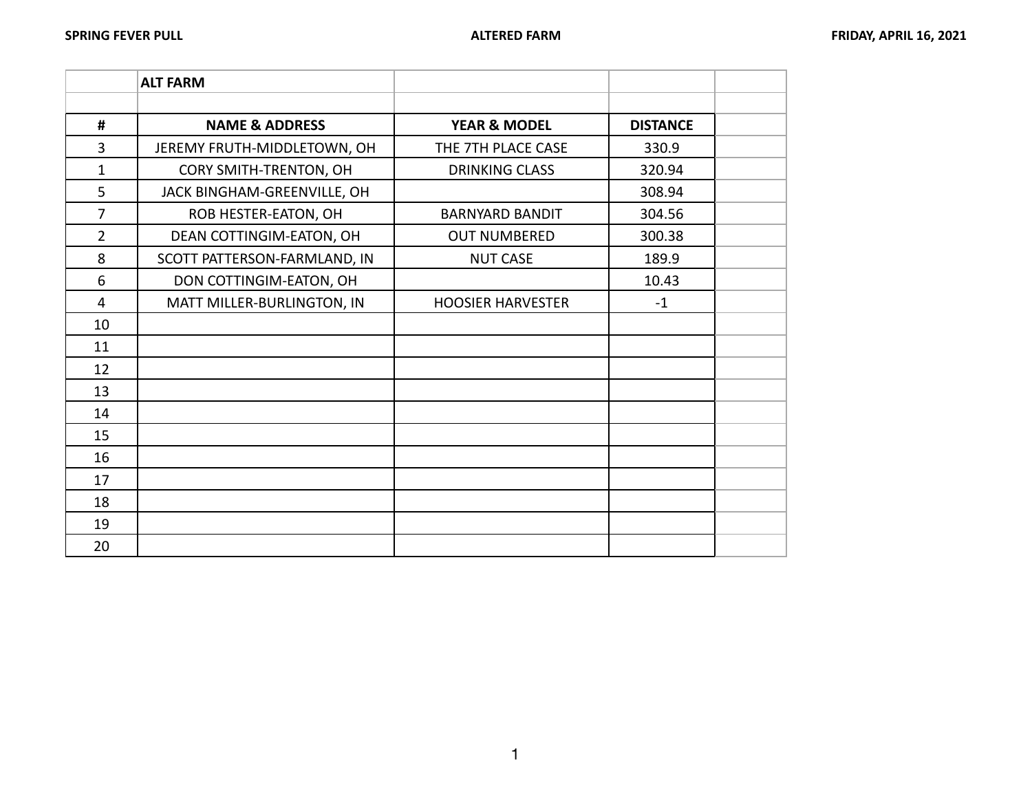|                | <b>ALT FARM</b>              |                          |                 |  |
|----------------|------------------------------|--------------------------|-----------------|--|
|                |                              |                          |                 |  |
| $\#$           | <b>NAME &amp; ADDRESS</b>    | <b>YEAR &amp; MODEL</b>  | <b>DISTANCE</b> |  |
| 3              | JEREMY FRUTH-MIDDLETOWN, OH  | THE 7TH PLACE CASE       | 330.9           |  |
| $\mathbf{1}$   | CORY SMITH-TRENTON, OH       | <b>DRINKING CLASS</b>    | 320.94          |  |
| 5              | JACK BINGHAM-GREENVILLE, OH  |                          | 308.94          |  |
| $\overline{7}$ | ROB HESTER-EATON, OH         | <b>BARNYARD BANDIT</b>   | 304.56          |  |
| $\overline{2}$ | DEAN COTTINGIM-EATON, OH     | <b>OUT NUMBERED</b>      | 300.38          |  |
| 8              | SCOTT PATTERSON-FARMLAND, IN | <b>NUT CASE</b>          | 189.9           |  |
| 6              | DON COTTINGIM-EATON, OH      |                          | 10.43           |  |
| 4              | MATT MILLER-BURLINGTON, IN   | <b>HOOSIER HARVESTER</b> | $-1$            |  |
| 10             |                              |                          |                 |  |
| 11             |                              |                          |                 |  |
| 12             |                              |                          |                 |  |
| 13             |                              |                          |                 |  |
| 14             |                              |                          |                 |  |
| 15             |                              |                          |                 |  |
| 16             |                              |                          |                 |  |
| 17             |                              |                          |                 |  |
| 18             |                              |                          |                 |  |
| 19             |                              |                          |                 |  |
| 20             |                              |                          |                 |  |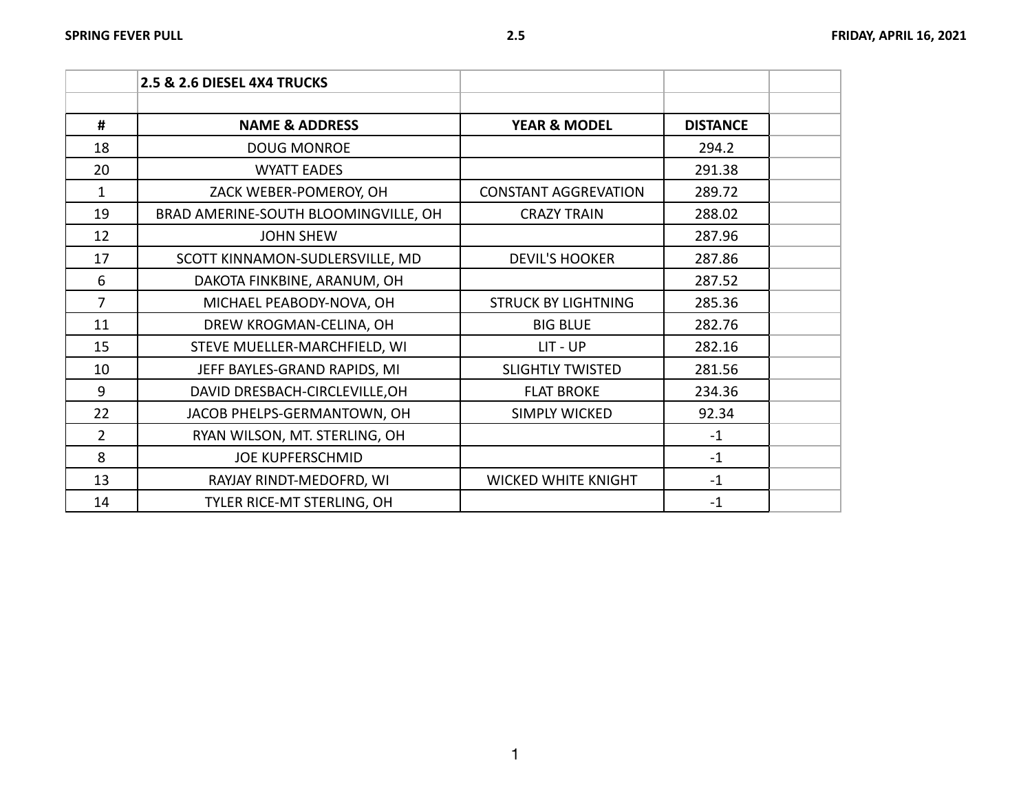|                | 2.5 & 2.6 DIESEL 4X4 TRUCKS          |                             |                 |  |
|----------------|--------------------------------------|-----------------------------|-----------------|--|
| #              | <b>NAME &amp; ADDRESS</b>            | <b>YEAR &amp; MODEL</b>     | <b>DISTANCE</b> |  |
| 18             | <b>DOUG MONROE</b>                   |                             | 294.2           |  |
| 20             | <b>WYATT EADES</b>                   |                             | 291.38          |  |
| $\mathbf{1}$   | ZACK WEBER-POMEROY, OH               | <b>CONSTANT AGGREVATION</b> | 289.72          |  |
| 19             | BRAD AMERINE-SOUTH BLOOMINGVILLE, OH | <b>CRAZY TRAIN</b>          | 288.02          |  |
| 12             | <b>JOHN SHEW</b>                     |                             | 287.96          |  |
| 17             | SCOTT KINNAMON-SUDLERSVILLE, MD      | <b>DEVIL'S HOOKER</b>       | 287.86          |  |
| 6              | DAKOTA FINKBINE, ARANUM, OH          |                             | 287.52          |  |
| $\overline{7}$ | MICHAEL PEABODY-NOVA, OH             | <b>STRUCK BY LIGHTNING</b>  | 285.36          |  |
| 11             | DREW KROGMAN-CELINA, OH              | <b>BIG BLUE</b>             | 282.76          |  |
| 15             | STEVE MUELLER-MARCHFIELD, WI         | LIT - UP                    | 282.16          |  |
| 10             | JEFF BAYLES-GRAND RAPIDS, MI         | <b>SLIGHTLY TWISTED</b>     | 281.56          |  |
| 9              | DAVID DRESBACH-CIRCLEVILLE, OH       | <b>FLAT BROKE</b>           | 234.36          |  |
| 22             | JACOB PHELPS-GERMANTOWN, OH          | <b>SIMPLY WICKED</b>        | 92.34           |  |
| $\overline{2}$ | RYAN WILSON, MT. STERLING, OH        |                             | $-1$            |  |
| 8              | <b>JOE KUPFERSCHMID</b>              |                             | $-1$            |  |
| 13             | RAYJAY RINDT-MEDOFRD, WI             | <b>WICKED WHITE KNIGHT</b>  | $-1$            |  |
| 14             | TYLER RICE-MT STERLING, OH           |                             | $-1$            |  |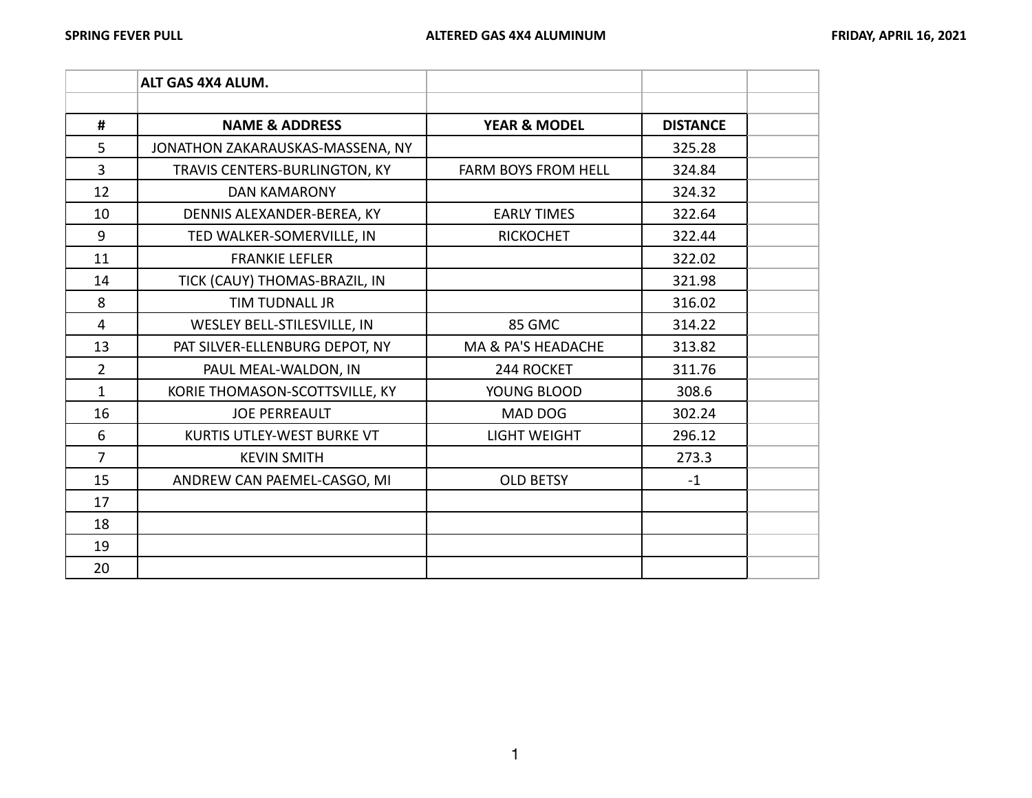|                | ALT GAS 4X4 ALUM.                |                            |                 |  |
|----------------|----------------------------------|----------------------------|-----------------|--|
|                |                                  |                            |                 |  |
| #              | <b>NAME &amp; ADDRESS</b>        | <b>YEAR &amp; MODEL</b>    | <b>DISTANCE</b> |  |
| 5              | JONATHON ZAKARAUSKAS-MASSENA, NY |                            | 325.28          |  |
| 3              | TRAVIS CENTERS-BURLINGTON, KY    | <b>FARM BOYS FROM HELL</b> | 324.84          |  |
| 12             | <b>DAN KAMARONY</b>              |                            | 324.32          |  |
| 10             | DENNIS ALEXANDER-BEREA, KY       | <b>EARLY TIMES</b>         | 322.64          |  |
| 9              | TED WALKER-SOMERVILLE, IN        | <b>RICKOCHET</b>           | 322.44          |  |
| 11             | <b>FRANKIE LEFLER</b>            |                            | 322.02          |  |
| 14             | TICK (CAUY) THOMAS-BRAZIL, IN    |                            | 321.98          |  |
| 8              | <b>TIM TUDNALL JR</b>            |                            | 316.02          |  |
| 4              | WESLEY BELL-STILESVILLE, IN      | 85 GMC                     | 314.22          |  |
| 13             | PAT SILVER-ELLENBURG DEPOT, NY   | MA & PA'S HEADACHE         | 313.82          |  |
| $\overline{2}$ | PAUL MEAL-WALDON, IN             | 244 ROCKET                 | 311.76          |  |
| $\mathbf{1}$   | KORIE THOMASON-SCOTTSVILLE, KY   | YOUNG BLOOD                | 308.6           |  |
| 16             | <b>JOE PERREAULT</b>             | MAD DOG                    | 302.24          |  |
| 6              | KURTIS UTLEY-WEST BURKE VT       | <b>LIGHT WEIGHT</b>        | 296.12          |  |
| $\overline{7}$ | <b>KEVIN SMITH</b>               |                            | 273.3           |  |
| 15             | ANDREW CAN PAEMEL-CASGO, MI      | <b>OLD BETSY</b>           | $-1$            |  |
| 17             |                                  |                            |                 |  |
| 18             |                                  |                            |                 |  |
| 19             |                                  |                            |                 |  |
| 20             |                                  |                            |                 |  |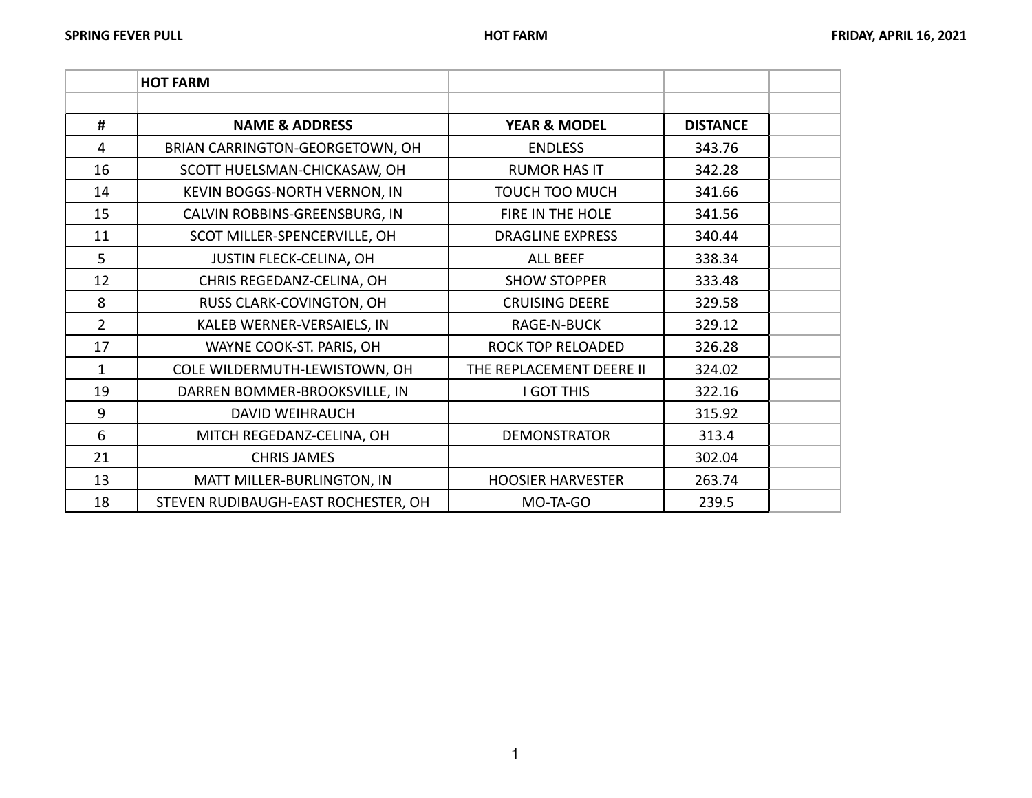|                | <b>HOT FARM</b>                     |                          |                 |  |
|----------------|-------------------------------------|--------------------------|-----------------|--|
|                |                                     |                          |                 |  |
| #              | <b>NAME &amp; ADDRESS</b>           | <b>YEAR &amp; MODEL</b>  | <b>DISTANCE</b> |  |
| 4              | BRIAN CARRINGTON-GEORGETOWN, OH     | <b>ENDLESS</b>           | 343.76          |  |
| 16             | SCOTT HUELSMAN-CHICKASAW, OH        | <b>RUMOR HAS IT</b>      | 342.28          |  |
| 14             | KEVIN BOGGS-NORTH VERNON, IN        | <b>TOUCH TOO MUCH</b>    | 341.66          |  |
| 15             | CALVIN ROBBINS-GREENSBURG, IN       | FIRE IN THE HOLE         | 341.56          |  |
| 11             | SCOT MILLER-SPENCERVILLE, OH        | <b>DRAGLINE EXPRESS</b>  | 340.44          |  |
| 5              | JUSTIN FLECK-CELINA, OH             | <b>ALL BEEF</b>          | 338.34          |  |
| 12             | CHRIS REGEDANZ-CELINA, OH           | <b>SHOW STOPPER</b>      | 333.48          |  |
| 8              | RUSS CLARK-COVINGTON, OH            | <b>CRUISING DEERE</b>    | 329.58          |  |
| $\overline{2}$ | KALEB WERNER-VERSAIELS, IN          | <b>RAGE-N-BUCK</b>       | 329.12          |  |
| 17             | WAYNE COOK-ST. PARIS, OH            | <b>ROCK TOP RELOADED</b> | 326.28          |  |
| $\mathbf{1}$   | COLE WILDERMUTH-LEWISTOWN, OH       | THE REPLACEMENT DEERE II | 324.02          |  |
| 19             | DARREN BOMMER-BROOKSVILLE, IN       | <b>I GOT THIS</b>        | 322.16          |  |
| 9              | <b>DAVID WEIHRAUCH</b>              |                          | 315.92          |  |
| 6              | MITCH REGEDANZ-CELINA, OH           | <b>DEMONSTRATOR</b>      | 313.4           |  |
| 21             | <b>CHRIS JAMES</b>                  |                          | 302.04          |  |
| 13             | MATT MILLER-BURLINGTON, IN          | <b>HOOSIER HARVESTER</b> | 263.74          |  |
| 18             | STEVEN RUDIBAUGH-EAST ROCHESTER, OH | MO-TA-GO                 | 239.5           |  |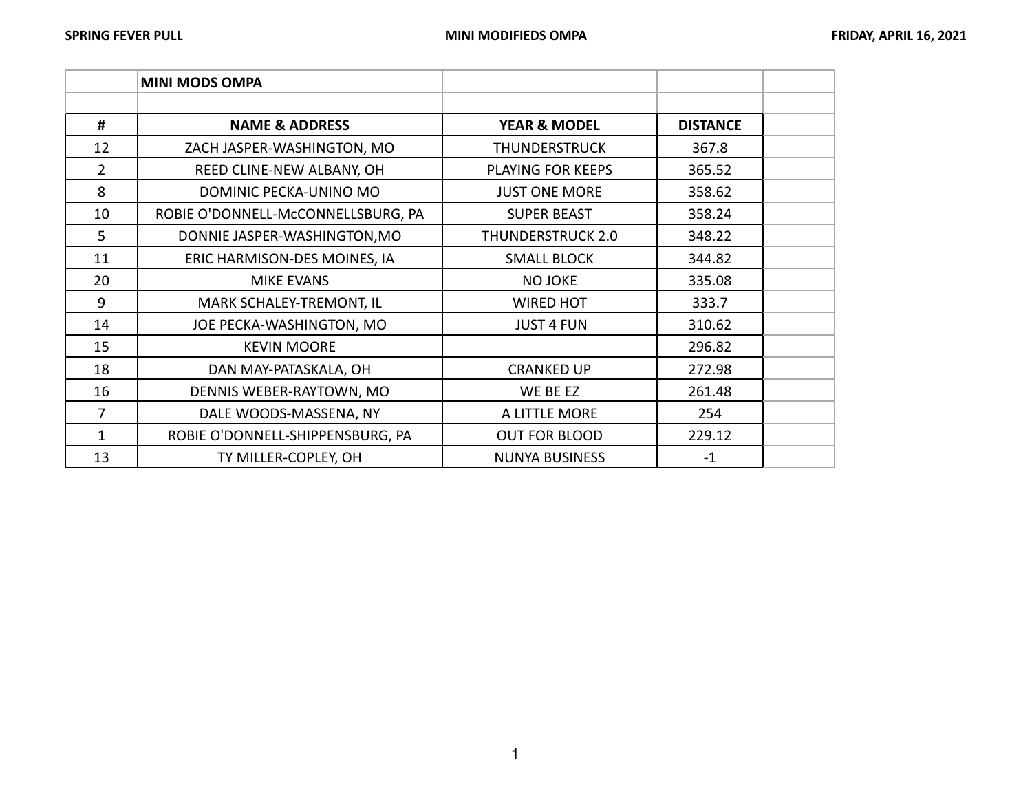|                | <b>MINI MODS OMPA</b>              |                         |                 |  |
|----------------|------------------------------------|-------------------------|-----------------|--|
|                |                                    |                         |                 |  |
| #              | <b>NAME &amp; ADDRESS</b>          | <b>YEAR &amp; MODEL</b> | <b>DISTANCE</b> |  |
| 12             | ZACH JASPER-WASHINGTON, MO         | THUNDERSTRUCK           | 367.8           |  |
| $\overline{2}$ | REED CLINE-NEW ALBANY, OH          | PLAYING FOR KEEPS       | 365.52          |  |
| 8              | DOMINIC PECKA-UNINO MO             | <b>JUST ONE MORE</b>    | 358.62          |  |
| 10             | ROBIE O'DONNELL-McCONNELLSBURG, PA | <b>SUPER BEAST</b>      | 358.24          |  |
| 5              | DONNIE JASPER-WASHINGTON, MO       | THUNDERSTRUCK 2.0       | 348.22          |  |
| 11             | ERIC HARMISON-DES MOINES, IA       | <b>SMALL BLOCK</b>      | 344.82          |  |
| 20             | <b>MIKE EVANS</b>                  | <b>NO JOKE</b>          | 335.08          |  |
| 9              | MARK SCHALEY-TREMONT, IL           | <b>WIRED HOT</b>        | 333.7           |  |
| 14             | JOE PECKA-WASHINGTON, MO           | <b>JUST 4 FUN</b>       | 310.62          |  |
| 15             | <b>KEVIN MOORE</b>                 |                         | 296.82          |  |
| 18             | DAN MAY-PATASKALA, OH              | <b>CRANKED UP</b>       | 272.98          |  |
| 16             | DENNIS WEBER-RAYTOWN, MO           | WE BE EZ                | 261.48          |  |
| 7              | DALE WOODS-MASSENA, NY             | A LITTLE MORE           | 254             |  |
| 1              | ROBIE O'DONNELL-SHIPPENSBURG, PA   | <b>OUT FOR BLOOD</b>    | 229.12          |  |
| 13             | TY MILLER-COPLEY, OH               | <b>NUNYA BUSINESS</b>   | $-1$            |  |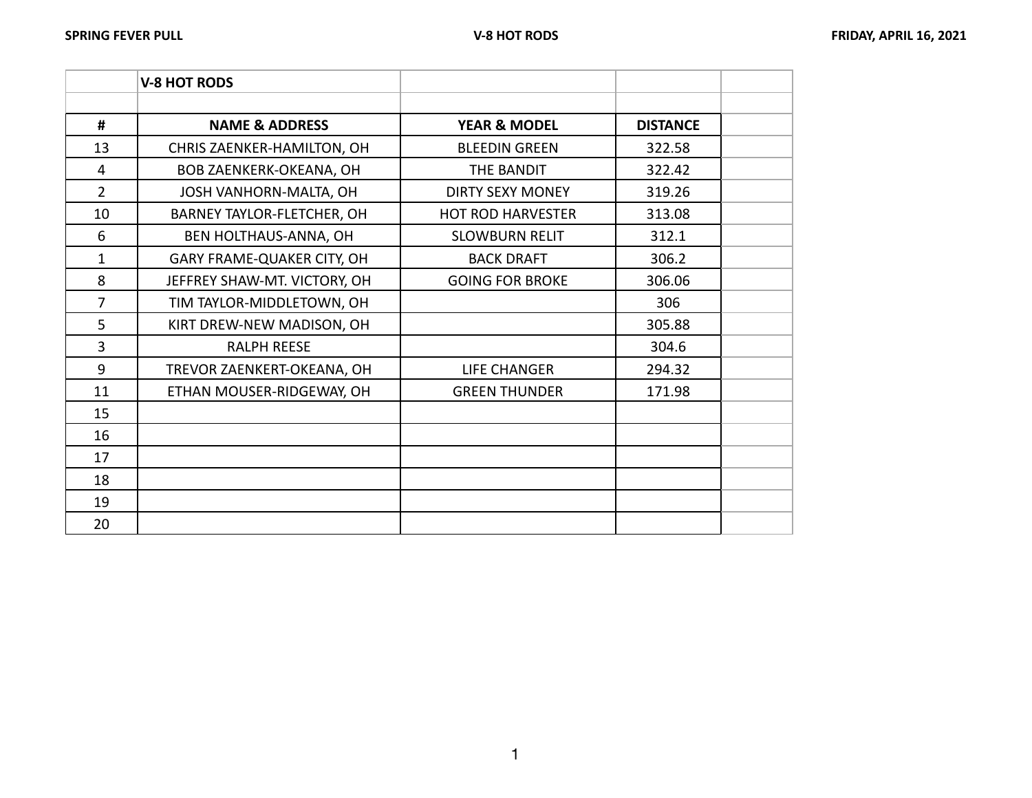|                | <b>V-8 HOT RODS</b>            |                          |                 |  |
|----------------|--------------------------------|--------------------------|-----------------|--|
|                |                                |                          |                 |  |
| #              | <b>NAME &amp; ADDRESS</b>      | <b>YEAR &amp; MODEL</b>  | <b>DISTANCE</b> |  |
| 13             | CHRIS ZAENKER-HAMILTON, OH     | <b>BLEEDIN GREEN</b>     | 322.58          |  |
| $\overline{4}$ | <b>BOB ZAENKERK-OKEANA, OH</b> | THE BANDIT               | 322.42          |  |
| $\overline{2}$ | JOSH VANHORN-MALTA, OH         | <b>DIRTY SEXY MONEY</b>  | 319.26          |  |
| 10             | BARNEY TAYLOR-FLETCHER, OH     | <b>HOT ROD HARVESTER</b> | 313.08          |  |
| 6              | BEN HOLTHAUS-ANNA, OH          | <b>SLOWBURN RELIT</b>    | 312.1           |  |
| 1              | GARY FRAME-QUAKER CITY, OH     | <b>BACK DRAFT</b>        | 306.2           |  |
| 8              | JEFFREY SHAW-MT. VICTORY, OH   | <b>GOING FOR BROKE</b>   | 306.06          |  |
| 7              | TIM TAYLOR-MIDDLETOWN, OH      |                          | 306             |  |
| 5              | KIRT DREW-NEW MADISON, OH      |                          | 305.88          |  |
| $\overline{3}$ | <b>RALPH REESE</b>             |                          | 304.6           |  |
| 9              | TREVOR ZAENKERT-OKEANA, OH     | <b>LIFE CHANGER</b>      | 294.32          |  |
| 11             | ETHAN MOUSER-RIDGEWAY, OH      | <b>GREEN THUNDER</b>     | 171.98          |  |
| 15             |                                |                          |                 |  |
| 16             |                                |                          |                 |  |
| 17             |                                |                          |                 |  |
| 18             |                                |                          |                 |  |
| 19             |                                |                          |                 |  |
| 20             |                                |                          |                 |  |